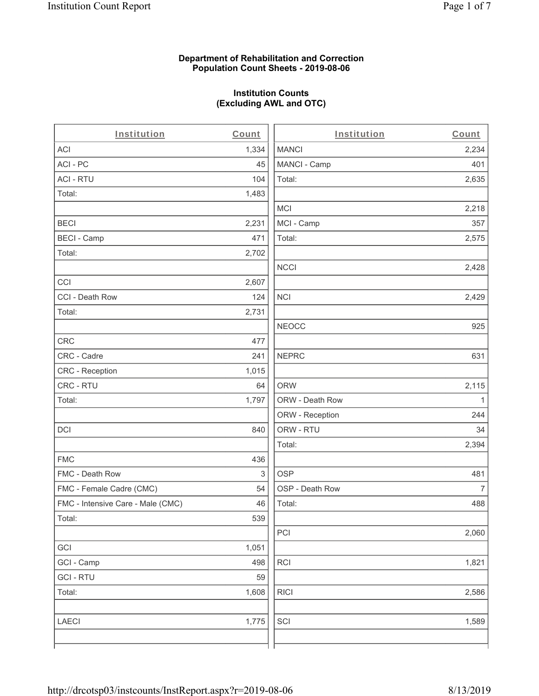#### **Department of Rehabilitation and Correction Population Count Sheets - 2019-08-06**

# **Institution Counts (Excluding AWL and OTC)**

| Institution                       | Count | Institution     | Count          |
|-----------------------------------|-------|-----------------|----------------|
| ACI                               | 1,334 | <b>MANCI</b>    | 2,234          |
| ACI-PC                            | 45    | MANCI - Camp    | 401            |
| <b>ACI - RTU</b>                  | 104   | Total:          | 2,635          |
| Total:                            | 1,483 |                 |                |
|                                   |       | <b>MCI</b>      | 2,218          |
| <b>BECI</b>                       | 2,231 | MCI - Camp      | 357            |
| <b>BECI - Camp</b>                | 471   | Total:          | 2,575          |
| Total:                            | 2,702 |                 |                |
|                                   |       | <b>NCCI</b>     | 2,428          |
| CCI                               | 2,607 |                 |                |
| CCI - Death Row                   | 124   | <b>NCI</b>      | 2,429          |
| Total:                            | 2,731 |                 |                |
|                                   |       | <b>NEOCC</b>    | 925            |
| CRC                               | 477   |                 |                |
| CRC - Cadre                       | 241   | <b>NEPRC</b>    | 631            |
| CRC - Reception                   | 1,015 |                 |                |
| CRC - RTU                         | 64    | <b>ORW</b>      | 2,115          |
| Total:                            | 1,797 | ORW - Death Row | 1              |
|                                   |       | ORW - Reception | 244            |
| <b>DCI</b>                        | 840   | ORW - RTU       | 34             |
|                                   |       | Total:          | 2,394          |
| <b>FMC</b>                        | 436   |                 |                |
| FMC - Death Row                   | 3     | <b>OSP</b>      | 481            |
| FMC - Female Cadre (CMC)          | 54    | OSP - Death Row | $\overline{7}$ |
| FMC - Intensive Care - Male (CMC) | 46    | Total:          | 488            |
| Total:                            | 539   |                 |                |
|                                   |       | PCI             | 2,060          |
| GCI                               | 1,051 |                 |                |
| GCI - Camp                        | 498   | RCI             | 1,821          |
| <b>GCI-RTU</b>                    | 59    |                 |                |
| Total:                            | 1,608 | <b>RICI</b>     | 2,586          |
|                                   |       |                 |                |
| <b>LAECI</b>                      | 1,775 | SCI             | 1,589          |
|                                   |       |                 |                |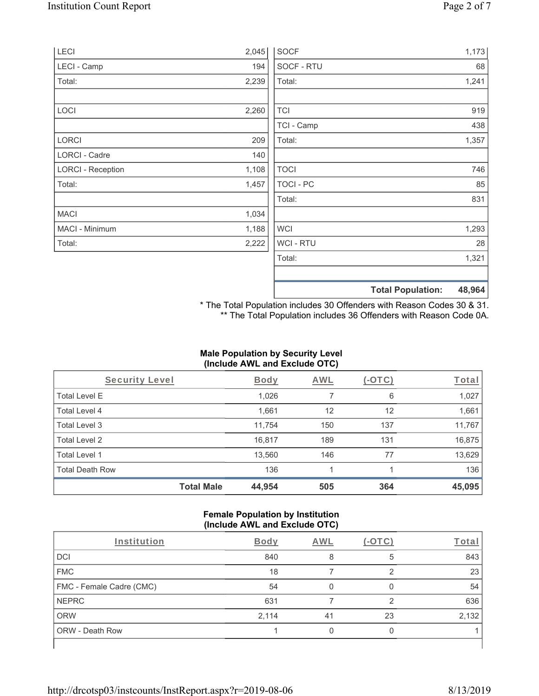| <b>LECI</b>              | 2,045 | <b>SOCF</b>    |                          | 1,173  |
|--------------------------|-------|----------------|--------------------------|--------|
| LECI - Camp              | 194   | SOCF - RTU     |                          | 68     |
| Total:                   | 2,239 | Total:         |                          | 1,241  |
| LOCI                     | 2,260 | <b>TCI</b>     |                          | 919    |
|                          |       | TCI - Camp     |                          | 438    |
| LORCI                    | 209   | Total:         |                          | 1,357  |
| LORCI - Cadre            | 140   |                |                          |        |
| <b>LORCI - Reception</b> | 1,108 | <b>TOCI</b>    |                          | 746    |
| Total:                   | 1,457 | TOCI - PC      |                          | 85     |
|                          |       | Total:         |                          | 831    |
| <b>MACI</b>              | 1,034 |                |                          |        |
| MACI - Minimum           | 1,188 | <b>WCI</b>     |                          | 1,293  |
| Total:                   | 2,222 | <b>WCI-RTU</b> |                          | 28     |
|                          |       | Total:         |                          | 1,321  |
|                          |       |                | <b>Total Population:</b> | 48,964 |

\* The Total Population includes 30 Offenders with Reason Codes 30 & 31. \*\* The Total Population includes 36 Offenders with Reason Code 0A.

## **Male Population by Security Level (Include AWL and Exclude OTC)**

| Security Level         |                   | <b>Body</b> | <b>AWL</b> | $(-\text{OTC})$ | <b>Total</b> |
|------------------------|-------------------|-------------|------------|-----------------|--------------|
| <b>Total Level E</b>   |                   | 1,026       | 7          | 6               | 1,027        |
| <b>Total Level 4</b>   |                   | 1,661       | 12         | 12              | 1,661        |
| Total Level 3          |                   | 11,754      | 150        | 137             | 11,767       |
| Total Level 2          |                   | 16,817      | 189        | 131             | 16,875       |
| Total Level 1          |                   | 13,560      | 146        | 77              | 13,629       |
| <b>Total Death Row</b> |                   | 136         |            |                 | 136          |
|                        | <b>Total Male</b> | 44,954      | 505        | 364             | 45,095       |

#### **Female Population by Institution (Include AWL and Exclude OTC)**

|                          |             | . . |        |       |
|--------------------------|-------------|-----|--------|-------|
| Institution              | <b>Body</b> | AWL | (-OTC) | Total |
| <b>DCI</b>               | 840         | 8   | 5      | 843   |
| <b>FMC</b>               | 18          |     | 2      | 23    |
| FMC - Female Cadre (CMC) | 54          |     |        | 54    |
| <b>NEPRC</b>             | 631         |     | ⌒      | 636   |
| <b>ORW</b>               | 2,114       | 41  | 23     | 2,132 |
| <b>ORW - Death Row</b>   |             |     |        |       |
|                          |             |     |        |       |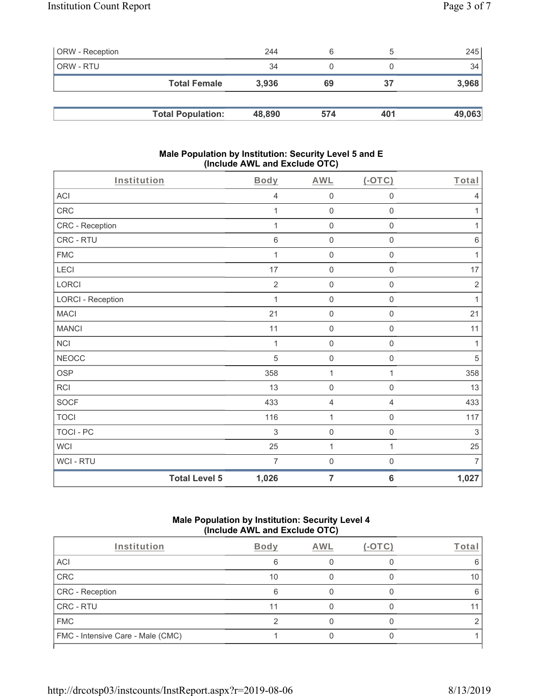| <b>ORW</b> - Reception |                          | 244    | 6   |     | 245    |
|------------------------|--------------------------|--------|-----|-----|--------|
| ORW - RTU              |                          | 34     |     |     | 34     |
|                        | <b>Total Female</b>      | 3,936  | 69  | 37  | 3,968  |
|                        |                          |        |     |     |        |
|                        | <b>Total Population:</b> | 48,890 | 574 | 401 | 49,063 |

#### **Male Population by Institution: Security Level 5 and E (Include AWL and Exclude OTC)**

| Institution              |                      | Body           | <b>AWL</b>          | (OTC)               | Total          |
|--------------------------|----------------------|----------------|---------------------|---------------------|----------------|
| ACI                      |                      | $\overline{4}$ | $\boldsymbol{0}$    | $\mathsf{O}\xspace$ | 4              |
| CRC                      |                      | 1              | $\mathbf 0$         | $\mathsf{O}\xspace$ | 1              |
| CRC - Reception          |                      |                | $\boldsymbol{0}$    | 0                   | 1              |
| CRC - RTU                |                      | $\,6\,$        | $\mathbf 0$         | $\mathsf{O}\xspace$ | $\,6\,$        |
| <b>FMC</b>               |                      | 1              | $\mathsf{O}\xspace$ | $\mathsf{O}\xspace$ | 1              |
| LECI                     |                      | 17             | $\mathsf{O}\xspace$ | $\mathsf{O}\xspace$ | 17             |
| LORCI                    |                      | $\overline{2}$ | $\mathsf{O}\xspace$ | 0                   | $\sqrt{2}$     |
| <b>LORCI - Reception</b> |                      | 1              | $\mathsf{O}\xspace$ | $\mathsf 0$         | $\mathbf{1}$   |
| <b>MACI</b>              |                      | 21             | $\mathsf{O}\xspace$ | $\mathsf{O}\xspace$ | 21             |
| <b>MANCI</b>             |                      | 11             | $\mathsf{O}\xspace$ | $\mathsf 0$         | 11             |
| <b>NCI</b>               |                      | 1              | $\mathbf 0$         | $\mathsf{O}\xspace$ | 1              |
| <b>NEOCC</b>             |                      | $\overline{5}$ | $\mathbf 0$         | $\mathbf 0$         | $\sqrt{5}$     |
| <b>OSP</b>               |                      | 358            | 1                   | $\mathbf{1}$        | 358            |
| <b>RCI</b>               |                      | 13             | $\mathbf 0$         | $\mathsf{O}\xspace$ | 13             |
| <b>SOCF</b>              |                      | 433            | 4                   | 4                   | 433            |
| <b>TOCI</b>              |                      | 116            | $\mathbf{1}$        | $\mathbf 0$         | 117            |
| <b>TOCI - PC</b>         |                      | 3              | $\mathsf{O}\xspace$ | $\mathsf{O}\xspace$ | 3              |
| <b>WCI</b>               |                      | 25             | $\mathbf{1}$        | $\mathbf{1}$        | 25             |
| WCI - RTU                |                      | $\overline{7}$ | $\mathbf 0$         | $\mathsf{O}\xspace$ | $\overline{7}$ |
|                          | <b>Total Level 5</b> | 1,026          | $\overline{7}$      | $\bf 6$             | 1,027          |

#### **Male Population by Institution: Security Level 4 (Include AWL and Exclude OTC)**

| Institution                       | <b>Body</b> | AWL | (-OTC) | Total |
|-----------------------------------|-------------|-----|--------|-------|
| ACI                               | 6           |     |        | 6     |
| CRC                               | 10          |     |        | 10    |
| CRC - Reception                   | 6           |     |        | 6     |
| <b>CRC - RTU</b>                  | 11          |     |        |       |
| <b>FMC</b>                        |             |     |        |       |
| FMC - Intensive Care - Male (CMC) |             |     |        |       |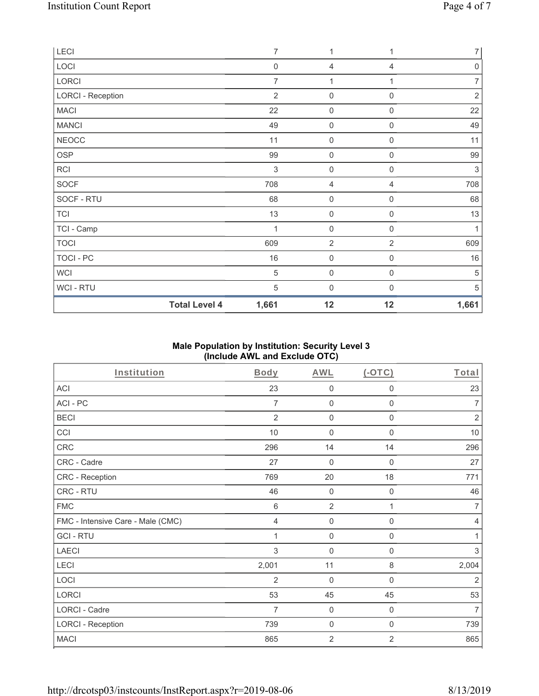| LECI                     | $\overline{7}$ | $\mathbf{1}$        | 1                | 7              |
|--------------------------|----------------|---------------------|------------------|----------------|
| LOCI                     | $\mathbf 0$    | 4                   | 4                | $\mathbf 0$    |
| LORCI                    | $\overline{7}$ | 1                   |                  | $\overline{7}$ |
| <b>LORCI - Reception</b> | $\overline{2}$ | $\mathsf{O}\xspace$ | 0                | $\sqrt{2}$     |
| <b>MACI</b>              | 22             | $\mathsf{O}\xspace$ | $\mathbf 0$      | 22             |
| <b>MANCI</b>             | 49             | 0                   | $\boldsymbol{0}$ | 49             |
| <b>NEOCC</b>             | 11             | $\mathbf 0$         | $\boldsymbol{0}$ | 11             |
| OSP                      | 99             | $\mathsf{O}\xspace$ | $\mathbf 0$      | 99             |
| <b>RCI</b>               | 3              | $\boldsymbol{0}$    | $\boldsymbol{0}$ | $\sqrt{3}$     |
| <b>SOCF</b>              | 708            | 4                   | 4                | 708            |
| SOCF - RTU               | 68             | $\boldsymbol{0}$    | $\boldsymbol{0}$ | 68             |
| <b>TCI</b>               | 13             | $\mathbf 0$         | $\mathbf 0$      | 13             |
| TCI - Camp               | $\overline{1}$ | $\mathbf 0$         | 0                | 1              |
| <b>TOCI</b>              | 609            | $\overline{2}$      | $\overline{2}$   | 609            |
| TOCI - PC                | 16             | $\mathsf{O}\xspace$ | 0                | 16             |
| <b>WCI</b>               | $\,$ 5 $\,$    | $\boldsymbol{0}$    | 0                | $\mathbf 5$    |
| WCI - RTU                | $\sqrt{5}$     | $\boldsymbol{0}$    | 0                | $\sqrt{5}$     |
| <b>Total Level 4</b>     | 1,661          | 12                  | 12               | 1,661          |

## **Male Population by Institution: Security Level 3 (Include AWL and Exclude OTC)**

| Institution                       | Body           | <b>AWL</b>     | $($ -OTC $)$   | Total                     |
|-----------------------------------|----------------|----------------|----------------|---------------------------|
| <b>ACI</b>                        | 23             | 0              | $\mathbf 0$    | 23                        |
| ACI-PC                            | $\overline{7}$ | 0              | $\mathbf 0$    | $\overline{7}$            |
| <b>BECI</b>                       | $\overline{2}$ | 0              | $\mathbf 0$    | $\sqrt{2}$                |
| CCI                               | 10             | $\mathbf 0$    | $\mathbf 0$    | $10$                      |
| CRC                               | 296            | 14             | 14             | 296                       |
| CRC - Cadre                       | 27             | $\mathbf 0$    | $\mathbf 0$    | 27                        |
| CRC - Reception                   | 769            | 20             | 18             | 771                       |
| CRC - RTU                         | 46             | 0              | $\mathbf 0$    | 46                        |
| <b>FMC</b>                        | $\,6$          | $\overline{2}$ | 1              | $\overline{7}$            |
| FMC - Intensive Care - Male (CMC) | $\overline{4}$ | $\mathbf 0$    | $\mathbf 0$    | $\overline{4}$            |
| <b>GCI-RTU</b>                    | 1              | $\mathbf 0$    | $\mathbf 0$    | 1                         |
| <b>LAECI</b>                      | 3              | 0              | $\mathbf 0$    | $\ensuremath{\mathsf{3}}$ |
| <b>LECI</b>                       | 2,001          | 11             | 8              | 2,004                     |
| LOCI                              | 2              | 0              | 0              | $\overline{2}$            |
| LORCI                             | 53             | 45             | 45             | 53                        |
| <b>LORCI - Cadre</b>              | 7              | $\mathbf 0$    | 0              | $\overline{7}$            |
| <b>LORCI - Reception</b>          | 739            | 0              | 0              | 739                       |
| <b>MACI</b>                       | 865            | $\overline{2}$ | $\overline{2}$ | 865                       |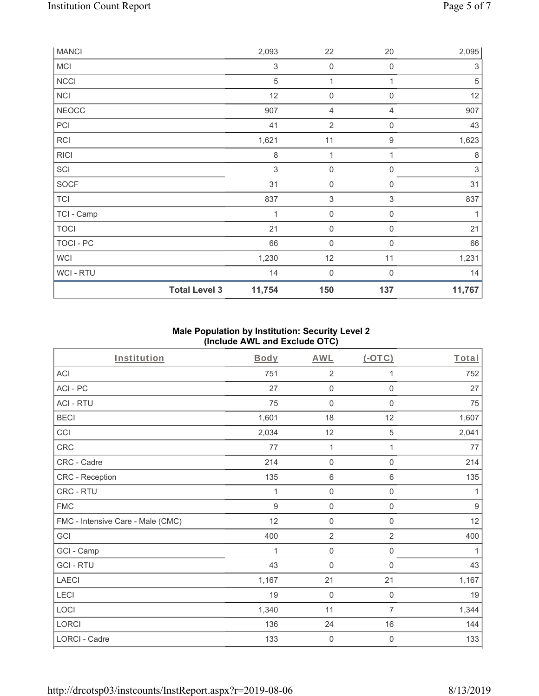| <b>MANCI</b> |                      | 2,093                     | 22                        | 20                        | 2,095                     |
|--------------|----------------------|---------------------------|---------------------------|---------------------------|---------------------------|
| <b>MCI</b>   |                      | $\ensuremath{\mathsf{3}}$ | $\mathsf{O}\xspace$       | $\mathbf 0$               | 3                         |
| <b>NCCI</b>  |                      | $\sqrt{5}$                | $\mathbf 1$               | 1                         | $\sqrt{5}$                |
| <b>NCI</b>   |                      | 12                        | $\mathsf{O}\xspace$       | $\mathbf 0$               | 12                        |
| <b>NEOCC</b> |                      | 907                       | 4                         | $\overline{4}$            | 907                       |
| PCI          |                      | 41                        | $\overline{2}$            | $\boldsymbol{0}$          | 43                        |
| <b>RCI</b>   |                      | 1,621                     | 11                        | $\boldsymbol{9}$          | 1,623                     |
| <b>RICI</b>  |                      | $\,8\,$                   | $\mathbf 1$               |                           | $\,8\,$                   |
| SCI          |                      | 3                         | $\mathsf{O}\xspace$       | $\mathbf 0$               | $\ensuremath{\mathsf{3}}$ |
| <b>SOCF</b>  |                      | 31                        | $\mathsf{O}\xspace$       | $\mathbf 0$               | 31                        |
| <b>TCI</b>   |                      | 837                       | $\ensuremath{\mathsf{3}}$ | $\ensuremath{\mathsf{3}}$ | 837                       |
| TCI - Camp   |                      | $\mathbf 1$               | $\mathbf 0$               | $\mathbf 0$               | 1                         |
| <b>TOCI</b>  |                      | 21                        | $\mathsf{O}\xspace$       | $\mathbf 0$               | 21                        |
| TOCI - PC    |                      | 66                        | $\mathsf{O}\xspace$       | $\overline{0}$            | 66                        |
| <b>WCI</b>   |                      | 1,230                     | 12                        | 11                        | 1,231                     |
| WCI - RTU    |                      | 14                        | $\boldsymbol{0}$          | $\Omega$                  | 14                        |
|              | <b>Total Level 3</b> | 11,754                    | 150                       | 137                       | 11,767                    |

### **Male Population by Institution: Security Level 2 (Include AWL and Exclude OTC)**

| Institution                       | <b>Body</b>    | <b>AWL</b>          | (OTC)               | Total |
|-----------------------------------|----------------|---------------------|---------------------|-------|
| <b>ACI</b>                        | 751            | $\overline{2}$      | 1                   | 752   |
| ACI-PC                            | 27             | $\mathbf 0$         | 0                   | 27    |
| <b>ACI - RTU</b>                  | 75             | $\mathbf 0$         | $\mathbf 0$         | 75    |
| <b>BECI</b>                       | 1,601          | 18                  | 12                  | 1,607 |
| CCI                               | 2,034          | 12                  | 5                   | 2,041 |
| CRC                               | 77             | $\mathbf{1}$        | 1                   | 77    |
| CRC - Cadre                       | 214            | $\mathbf 0$         | $\mathsf{O}\xspace$ | 214   |
| CRC - Reception                   | 135            | $6\,$               | 6                   | 135   |
| CRC - RTU                         | 1              | $\mathsf{O}\xspace$ | $\mathsf 0$         | 1     |
| <b>FMC</b>                        | $\overline{9}$ | $\mathsf{O}\xspace$ | $\mathsf{O}\xspace$ | $9\,$ |
| FMC - Intensive Care - Male (CMC) | 12             | $\mathbf 0$         | 0                   | 12    |
| GCI                               | 400            | $\overline{2}$      | $\overline{2}$      | 400   |
| GCI - Camp                        | 1              | $\mathsf{O}\xspace$ | $\mathsf{O}\xspace$ | 1     |
| <b>GCI-RTU</b>                    | 43             | $\mathbf 0$         | 0                   | 43    |
| <b>LAECI</b>                      | 1,167          | 21                  | 21                  | 1,167 |
| LECI                              | 19             | $\mathbf 0$         | $\mathbf 0$         | 19    |
| LOCI                              | 1,340          | 11                  | $\overline{7}$      | 1,344 |
| LORCI                             | 136            | 24                  | 16                  | 144   |
| <b>LORCI - Cadre</b>              | 133            | 0                   | $\mathbf 0$         | 133   |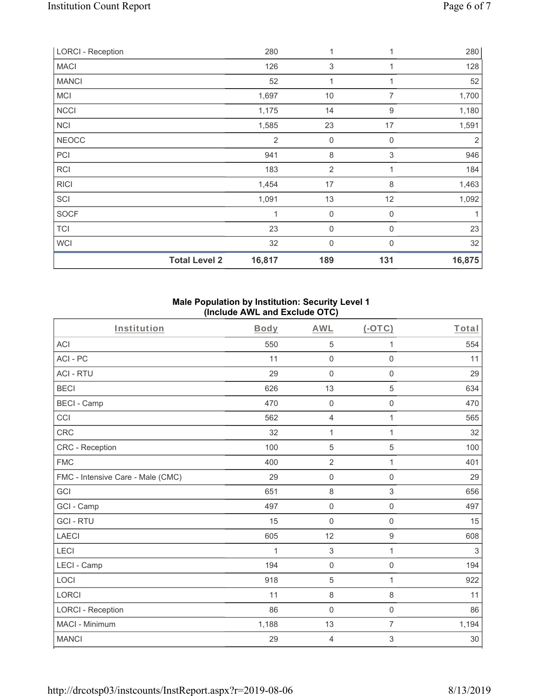| <b>LORCI - Reception</b> |                      | 280            | 1                | 1                | 280            |
|--------------------------|----------------------|----------------|------------------|------------------|----------------|
| <b>MACI</b>              |                      | 126            | 3                | 1                | 128            |
| <b>MANCI</b>             |                      | 52             | 1                |                  | 52             |
| <b>MCI</b>               |                      | 1,697          | 10               | $\overline{7}$   | 1,700          |
| <b>NCCI</b>              |                      | 1,175          | 14               | 9                | 1,180          |
| <b>NCI</b>               |                      | 1,585          | 23               | 17               | 1,591          |
| <b>NEOCC</b>             |                      | $\overline{2}$ | $\mathbf 0$      | 0                | $\overline{2}$ |
| PCI                      |                      | 941            | $\,8\,$          | 3                | 946            |
| RCI                      |                      | 183            | $\overline{2}$   | $\mathbf{1}$     | 184            |
| <b>RICI</b>              |                      | 1,454          | 17               | 8                | 1,463          |
| SCI                      |                      | 1,091          | 13               | 12               | 1,092          |
| SOCF                     |                      | 1              | $\boldsymbol{0}$ | $\boldsymbol{0}$ | 1              |
| <b>TCI</b>               |                      | 23             | $\mathbf 0$      | 0                | 23             |
| <b>WCI</b>               |                      | 32             | $\mathbf 0$      | 0                | 32             |
|                          | <b>Total Level 2</b> | 16,817         | 189              | 131              | 16,875         |

#### **Male Population by Institution: Security Level 1 (Include AWL and Exclude OTC)**

| Institution                       | <b>Body</b> | <b>AWL</b>          | $($ -OTC $)$        | Total  |
|-----------------------------------|-------------|---------------------|---------------------|--------|
| <b>ACI</b>                        | 550         | 5                   | 1                   | 554    |
| ACI-PC                            | 11          | $\mathbf 0$         | $\mathbf 0$         | 11     |
| <b>ACI - RTU</b>                  | 29          | $\mathbf 0$         | $\mathbf 0$         | 29     |
| <b>BECI</b>                       | 626         | 13                  | 5                   | 634    |
| <b>BECI - Camp</b>                | 470         | $\mathsf{O}\xspace$ | $\boldsymbol{0}$    | 470    |
| CCI                               | 562         | 4                   | 1                   | 565    |
| <b>CRC</b>                        | 32          | 1                   | 1                   | 32     |
| CRC - Reception                   | 100         | 5                   | 5                   | 100    |
| <b>FMC</b>                        | 400         | $\overline{2}$      | 1                   | 401    |
| FMC - Intensive Care - Male (CMC) | 29          | $\mathsf{O}\xspace$ | $\mathbf 0$         | 29     |
| GCI                               | 651         | $\,8\,$             | $\mathfrak{S}$      | 656    |
| GCI - Camp                        | 497         | $\mathsf{O}\xspace$ | $\mathsf{O}\xspace$ | 497    |
| <b>GCI-RTU</b>                    | 15          | $\mathbf 0$         | $\mathbf 0$         | 15     |
| <b>LAECI</b>                      | 605         | 12                  | $\boldsymbol{9}$    | 608    |
| LECI                              | 1           | $\sqrt{3}$          | 1                   | 3      |
| LECI - Camp                       | 194         | $\mathsf{O}\xspace$ | 0                   | 194    |
| LOCI                              | 918         | 5                   | $\mathbf{1}$        | 922    |
| <b>LORCI</b>                      | 11          | $\,8\,$             | $\,8\,$             | 11     |
| <b>LORCI - Reception</b>          | 86          | $\mathbf 0$         | $\mathbf 0$         | 86     |
| MACI - Minimum                    | 1,188       | 13                  | $\overline{7}$      | 1,194  |
| <b>MANCI</b>                      | 29          | 4                   | 3                   | $30\,$ |